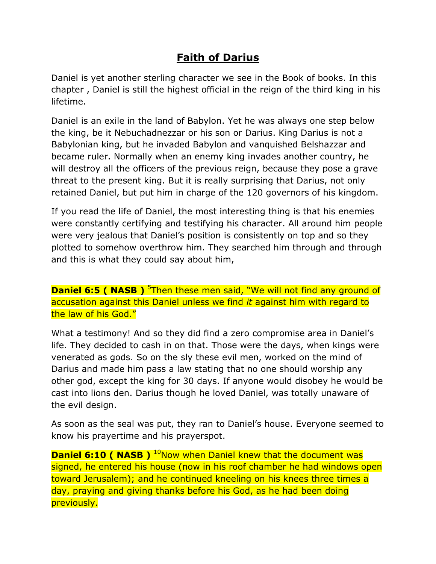## **Faith of Darius**

Daniel is yet another sterling character we see in the Book of books. In this chapter , Daniel is still the highest official in the reign of the third king in his lifetime.

Daniel is an exile in the land of Babylon. Yet he was always one step below the king, be it Nebuchadnezzar or his son or Darius. King Darius is not a Babylonian king, but he invaded Babylon and vanquished Belshazzar and became ruler. Normally when an enemy king invades another country, he will destroy all the officers of the previous reign, because they pose a grave threat to the present king. But it is really surprising that Darius, not only retained Daniel, but put him in charge of the 120 governors of his kingdom.

If you read the life of Daniel, the most interesting thing is that his enemies were constantly certifying and testifying his character. All around him people were very jealous that Daniel's position is consistently on top and so they plotted to somehow overthrow him. They searched him through and through and this is what they could say about him,

**Daniel 6:5 ( NASB )** <sup>5</sup>Then these men said, "We will not find any ground of accusation against this Daniel unless we find *it* against him with regard to the law of his God."

What a testimony! And so they did find a zero compromise area in Daniel's life. They decided to cash in on that. Those were the days, when kings were venerated as gods. So on the sly these evil men, worked on the mind of Darius and made him pass a law stating that no one should worship any other god, except the king for 30 days. If anyone would disobey he would be cast into lions den. Darius though he loved Daniel, was totally unaware of the evil design.

As soon as the seal was put, they ran to Daniel's house. Everyone seemed to know his prayertime and his prayerspot.

**Daniel 6:10 ( NASB )** <sup>10</sup>Now when Daniel knew that the document was signed, he entered his house (now in his roof chamber he had windows open toward Jerusalem); and he continued kneeling on his knees three times a day, praying and giving thanks before his God, as he had been doing previously.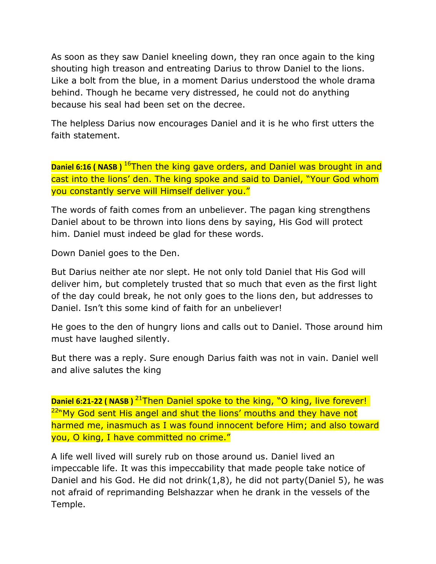As soon as they saw Daniel kneeling down, they ran once again to the king shouting high treason and entreating Darius to throw Daniel to the lions. Like a bolt from the blue, in a moment Darius understood the whole drama behind. Though he became very distressed, he could not do anything because his seal had been set on the decree.

The helpless Darius now encourages Daniel and it is he who first utters the faith statement.

**Daniel 6:16 (NASB)** <sup>16</sup>Then the king gave orders, and Daniel was brought in and cast into the lions' den. The king spoke and said to Daniel, "Your God whom you constantly serve will Himself deliver you."

The words of faith comes from an unbeliever. The pagan king strengthens Daniel about to be thrown into lions dens by saying, His God will protect him. Daniel must indeed be glad for these words.

Down Daniel goes to the Den.

But Darius neither ate nor slept. He not only told Daniel that His God will deliver him, but completely trusted that so much that even as the first light of the day could break, he not only goes to the lions den, but addresses to Daniel. Isn't this some kind of faith for an unbeliever!

He goes to the den of hungry lions and calls out to Daniel. Those around him must have laughed silently.

But there was a reply. Sure enough Darius faith was not in vain. Daniel well and alive salutes the king

**Daniel 6:21-22 (NASB)**<sup>21</sup>Then Daniel spoke to the king, "O king, live forever! <sup>22</sup>"My God sent His angel and shut the lions' mouths and they have not harmed me, inasmuch as I was found innocent before Him; and also toward you, O king, I have committed no crime."

A life well lived will surely rub on those around us. Daniel lived an impeccable life. It was this impeccability that made people take notice of Daniel and his God. He did not drink(1,8), he did not party(Daniel 5), he was not afraid of reprimanding Belshazzar when he drank in the vessels of the Temple.